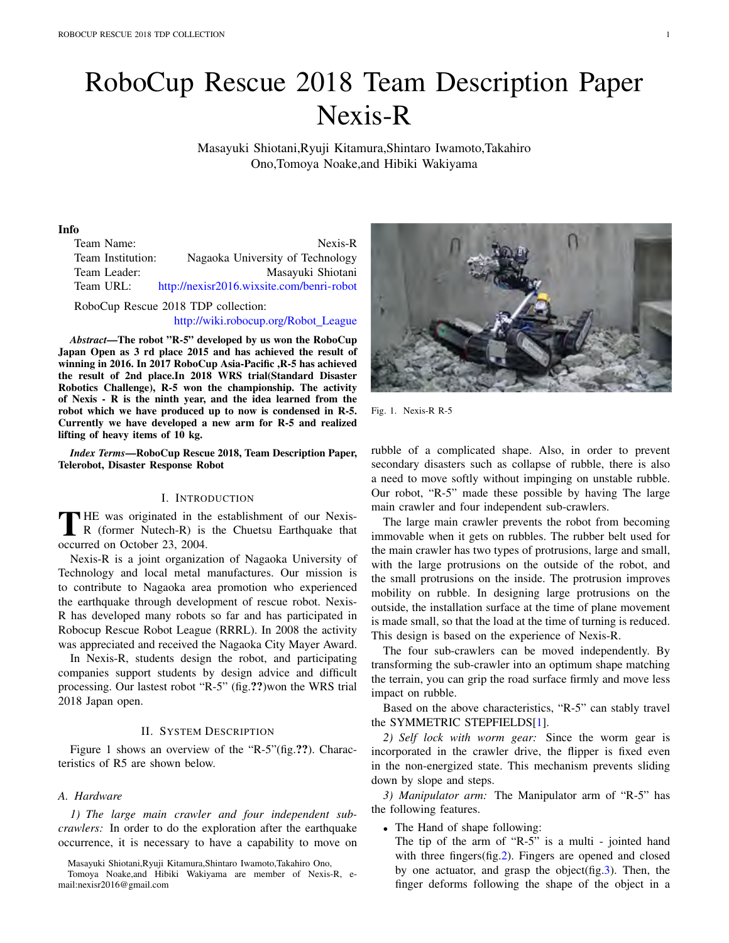# RoboCup Rescue 2018 Team Description Paper Nexis-R

Masayuki Shiotani,Ryuji Kitamura,Shintaro Iwamoto,Takahiro Ono,Tomoya Noake,and Hibiki Wakiyama

## Info

| Nexis-R                                               |
|-------------------------------------------------------|
| Nagaoka University of Technology<br>Team Institution: |
| Masayuki Shiotani                                     |
| http://nexisr2016.wixsite.com/benri-robot             |
|                                                       |

RoboCup Rescue 2018 TDP collection: http://wiki.robocup.org/Robot League

*Abstract*—The robot "R-5" developed by us won the RoboCup

Japan Open as 3 rd place 2015 and has achieved the result of winning in 2016. In 2017 RoboCup Asia-Pacific ,R-5 has achieved the result of 2nd place.In 2018 WRS trial(Standard Disaster Robotics Challenge), R-5 won the championship. The activity of Nexis - R is the ninth year, and the idea learned from the robot which we have produced up to now is condensed in R-5. Currently we have developed a new arm for R-5 and realized lifting of heavy items of 10 kg.

*Index Terms*—RoboCup Rescue 2018, Team Description Paper, Telerobot, Disaster Response Robot

## I. INTRODUCTION

THE was originated in the establishment of our Nexis-<br>R (former Nutech-R) is the Chuetsu Earthquake that<br>  $\frac{1}{2}$  and  $\frac{1}{2}$  and  $\frac{1}{2}$  and  $\frac{1}{2}$  and  $\frac{1}{2}$  and  $\frac{1}{2}$  and  $\frac{1}{2}$  and  $\frac{1}{2}$  and  $\frac$ occurred on October 23, 2004.

Nexis-R is a joint organization of Nagaoka University of Technology and local metal manufactures. Our mission is to contribute to Nagaoka area promotion who experienced the earthquake through development of rescue robot. Nexis-R has developed many robots so far and has participated in Robocup Rescue Robot League (RRRL). In 2008 the activity was appreciated and received the Nagaoka City Mayer Award.

In Nexis-R, students design the robot, and participating companies support students by design advice and difficult processing. Our lastest robot "R-5" (fig.??)won the WRS trial 2018 Japan open.

#### II. SYSTEM DESCRIPTION

Figure 1 shows an overview of the "R-5"(fig.??). Characteristics of R5 are shown below.

## *A. Hardware*

*1) The large main crawler and four independent subcrawlers:* In order to do the exploration after the earthquake occurrence, it is necessary to have a capability to move on



Fig. 1. Nexis-R R-5

rubble of a complicated shape. Also, in order to prevent secondary disasters such as collapse of rubble, there is also a need to move softly without impinging on unstable rubble. Our robot, "R-5" made these possible by having The large main crawler and four independent sub-crawlers.

The large main crawler prevents the robot from becoming immovable when it gets on rubbles. The rubber belt used for the main crawler has two types of protrusions, large and small, with the large protrusions on the outside of the robot, and the small protrusions on the inside. The protrusion improves mobility on rubble. In designing large protrusions on the outside, the installation surface at the time of plane movement is made small, so that the load at the time of turning is reduced. This design is based on the experience of Nexis-R.

The four sub-crawlers can be moved independently. By transforming the sub-crawler into an optimum shape matching the terrain, you can grip the road surface firmly and move less impact on rubble.

Based on the above characteristics, "R-5" can stably travel the SYMMETRIC STEPFIELDS[1].

*2) Self lock with worm gear:* Since the worm gear is incorporated in the crawler drive, the flipper is fixed even in the non-energized state. This mechanism prevents sliding down by slope and steps.

*3) Manipulator arm:* The Manipulator arm of "R-5" has the following features.

*•* The Hand of shape following:

The tip of the arm of "R-5" is a multi - jointed hand with three fingers(fig.2). Fingers are opened and closed by one actuator, and grasp the object(fig.3). Then, the finger deforms following the shape of the object in a

Masayuki Shiotani,Ryuji Kitamura,Shintaro Iwamoto,Takahiro Ono,

Tomoya Noake,and Hibiki Wakiyama are member of Nexis-R, email:nexisr2016@gmail.com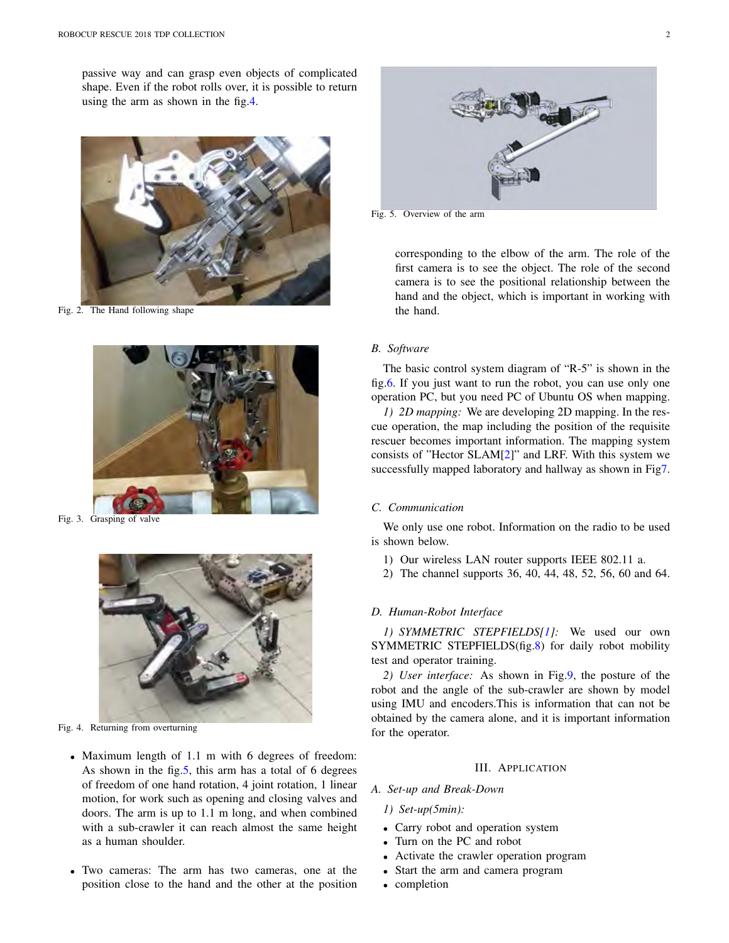passive way and can grasp even objects of complicated shape. Even if the robot rolls over, it is possible to return using the arm as shown in the fig.4.



Fig. 2. The Hand following shape



Fig. 3. Grasping of valve



Fig. 4. Returning from overturning

- *•* Maximum length of 1.1 m with 6 degrees of freedom: As shown in the fig.5, this arm has a total of 6 degrees of freedom of one hand rotation, 4 joint rotation, 1 linear motion, for work such as opening and closing valves and doors. The arm is up to 1.1 m long, and when combined with a sub-crawler it can reach almost the same height as a human shoulder.
- *•* Two cameras: The arm has two cameras, one at the position close to the hand and the other at the position



Fig. 5. Overview of the arm

corresponding to the elbow of the arm. The role of the first camera is to see the object. The role of the second camera is to see the positional relationship between the hand and the object, which is important in working with the hand.

#### *B. Software*

The basic control system diagram of "R-5" is shown in the fig.6. If you just want to run the robot, you can use only one operation PC, but you need PC of Ubuntu OS when mapping.

*1) 2D mapping:* We are developing 2D mapping. In the rescue operation, the map including the position of the requisite rescuer becomes important information. The mapping system consists of "Hector SLAM[2]" and LRF. With this system we successfully mapped laboratory and hallway as shown in Fig7.

#### *C. Communication*

We only use one robot. Information on the radio to be used is shown below.

- 1) Our wireless LAN router supports IEEE 802.11 a.
- 2) The channel supports 36, 40, 44, 48, 52, 56, 60 and 64.

## *D. Human-Robot Interface*

*1) SYMMETRIC STEPFIELDS[1]:* We used our own SYMMETRIC STEPFIELDS(fig.8) for daily robot mobility test and operator training.

*2) User interface:* As shown in Fig.9, the posture of the robot and the angle of the sub-crawler are shown by model using IMU and encoders.This is information that can not be obtained by the camera alone, and it is important information for the operator.

## III. APPLICATION

## *A. Set-up and Break-Down*

- *1) Set-up(5min):*
- *•* Carry robot and operation system
- *•* Turn on the PC and robot
- *•* Activate the crawler operation program
- *•* Start the arm and camera program
- *•* completion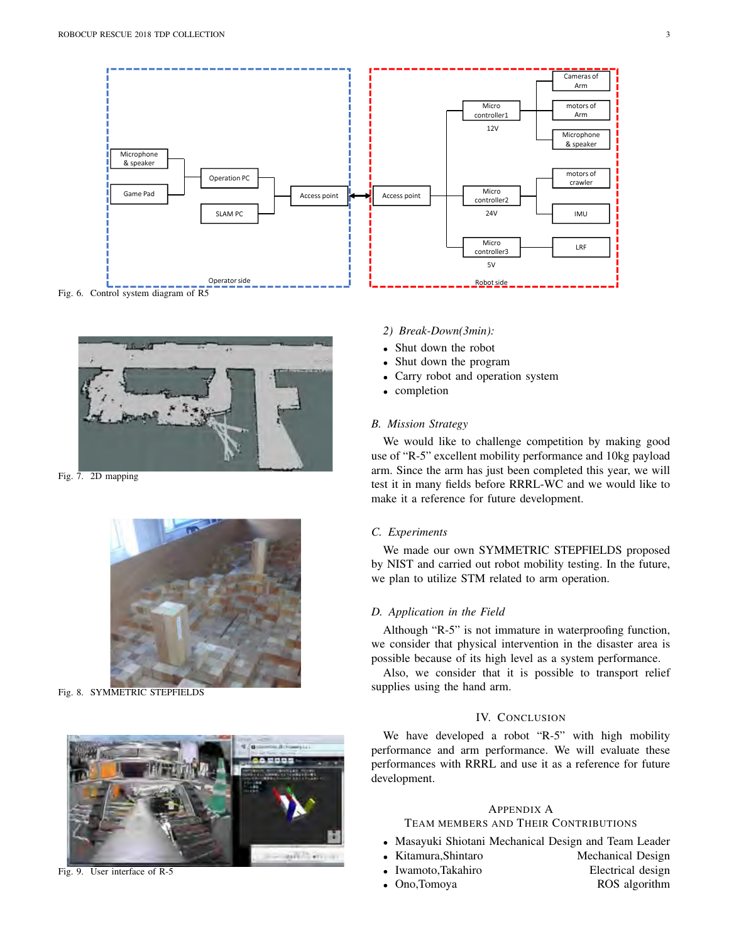

Fig. 6. Control system diagram of R5



Fig. 7. 2D mapping



Fig. 8. SYMMETRIC STEPFIELDS



Fig. 9. User interface of R-5

#### *2) Break-Down(3min):*

- *•* Shut down the robot
- *•* Shut down the program
- *•* Carry robot and operation system
- *•* completion

#### *B. Mission Strategy*

We would like to challenge competition by making good use of "R-5" excellent mobility performance and 10kg payload arm. Since the arm has just been completed this year, we will test it in many fields before RRRL-WC and we would like to make it a reference for future development.

#### *C. Experiments*

We made our own SYMMETRIC STEPFIELDS proposed by NIST and carried out robot mobility testing. In the future, we plan to utilize STM related to arm operation.

## *D. Application in the Field*

Although "R-5" is not immature in waterproofing function, we consider that physical intervention in the disaster area is possible because of its high level as a system performance.

Also, we consider that it is possible to transport relief supplies using the hand arm.

# IV. CONCLUSION

We have developed a robot "R-5" with high mobility performance and arm performance. We will evaluate these performances with RRRL and use it as a reference for future development.

## APPENDIX A

# TEAM MEMBERS AND THEIR CONTRIBUTIONS

- *•* Masayuki Shiotani Mechanical Design and Team Leader
- Kitamura,Shintaro Mechanical Design
- *•* Iwamoto,Takahiro Electrical design
- Ono,Tomoya
- 
- 
-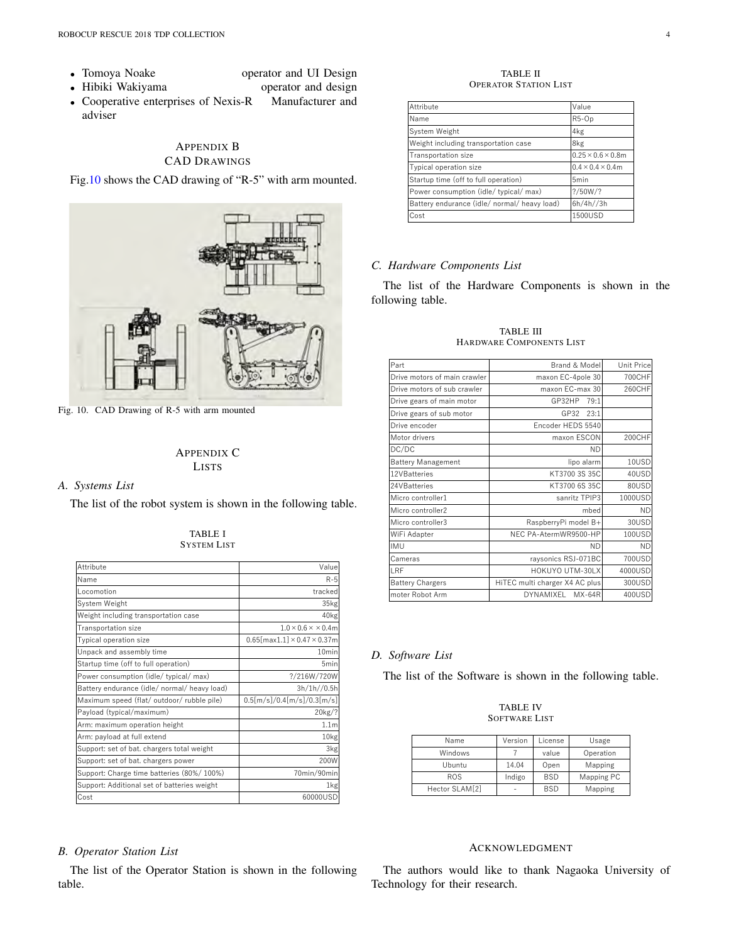- Tomoya Noake
- · Hibiki Wakiyama operator and design

operator and UI Design

• Cooperative enterprises of Nexis-R Manufacturer and adviser

# **APPENDIX B CAD DRAWINGS**

Fig.10 shows the CAD drawing of "R-5" with arm mounted.



Fig. 10. CAD Drawing of R-5 with arm mounted

# **APPENDIX C LISTS**

# A. Systems List

The list of the robot system is shown in the following table.

| Attribute                                    | Value                                        |
|----------------------------------------------|----------------------------------------------|
| Name                                         | $R-5$                                        |
| Locomotion                                   | tracked                                      |
| System Weight                                | 35kg                                         |
| Weight including transportation case         | 40 <sub>kg</sub>                             |
| Transportation size                          | $1.0 \times 0.6 \times \times 0.4$ m         |
| Typical operation size                       | $0.65$ [max1.1] $\times$ 0.47 $\times$ 0.37m |
| Unpack and assembly time                     | 10min                                        |
| Startup time (off to full operation)         | 5 <sub>min</sub>                             |
| Power consumption (idle/ typical/ max)       | ?/216W/720W                                  |
| Battery endurance (idle/ normal/ heavy load) | 3h/1h//0.5h                                  |
| Maximum speed (flat/ outdoor/ rubble pile)   | 0.5[m/s]/0.4[m/s]/0.3[m/s]                   |
| Payload (typical/maximum)                    | 20kg/?                                       |
| Arm: maximum operation height                | 1.1 <sub>m</sub>                             |
| Arm: payload at full extend                  | 10kg                                         |
| Support: set of bat. chargers total weight   | 3kg                                          |
| Support: set of bat. chargers power          | 200W                                         |
| Support: Charge time batteries (80%/100%)    | 70min/90min                                  |
| Support: Additional set of batteries weight  | 1kg                                          |
| Cost                                         | 60000USD                                     |
|                                              |                                              |

#### **TABLE I SYSTEM LIST**

#### **B.** Operator Station List

The list of the Operator Station is shown in the following table.

#### **TABLE II OPERATOR STATION LIST**

| Attribute                                    | Value                          |
|----------------------------------------------|--------------------------------|
| Name                                         | R <sub>5</sub> -Op             |
| System Weight                                | 4kg                            |
| Weight including transportation case         | 8kg                            |
| Transportation size                          | $0.25 \times 0.6 \times 0.8$ m |
| Typical operation size                       | $0.4 \times 0.4 \times 0.4$ m  |
| Startup time (off to full operation)         | 5 <sub>min</sub>               |
| Power consumption (idle/ typical/ max)       | ? / 50W / ?                    |
| Battery endurance (idle/ normal/ heavy load) | 6h/4h//3h                      |
| Cost                                         | 1500USD                        |

# C. Hardware Components List

The list of the Hardware Components is shown in the following table.

| Part                         | Brand & Model                  | Unit Price |
|------------------------------|--------------------------------|------------|
| Drive motors of main crawler | maxon EC-4pole 30              | 700CHF     |
| Drive motors of sub crawler  | maxon EC-max 30                | 260CHF     |
| Drive gears of main motor    | GP32HP<br>79:1                 |            |
| Drive gears of sub motor     | GP32<br>23:1                   |            |
| Drive encoder                | Encoder HEDS 5540              |            |
| Motor drivers                | maxon ESCON                    | 200CHF     |
| DC/DC                        | <b>ND</b>                      |            |
| <b>Battery Management</b>    | lipo alarm                     | 10USD      |
| 12VBatteries                 | KT3700 3S 35C                  | 40USD      |
| 24VBatteries                 | KT3700 6S 35C                  | 80USD      |
| Micro controller1            | sanritz TPIP3                  | 1000USD    |
| Micro controller2            | mbed                           | <b>ND</b>  |
| Micro controller3            | RaspberryPi model B+           | 30USD      |
| WiFi Adapter                 | NEC PA-AtermWR9500-HP          | 100USD     |
| <b>IMU</b>                   | <b>ND</b>                      | <b>ND</b>  |
| Cameras                      | raysonics RSJ-071BC            | 700USD     |
| LRF                          | HOKUYO UTM-30LX                | 4000USD    |
| <b>Battery Chargers</b>      | HITEC multi charger X4 AC plus | 300USD     |
| moter Robot Arm              | DYNAMIXEL<br><b>MX-64R</b>     | 400USD     |
|                              |                                |            |

#### **TABLE III** HARDWARE COMPONENTS LIST

# D. Software List

The list of the Software is shown in the following table.

#### **TABLE IV SOFTWARE LIST**

| Name           | Version | License    | Usage      |
|----------------|---------|------------|------------|
| Windows        |         | value      | Operation  |
| Ubuntu         | 14.04   | Open       | Mapping    |
| <b>ROS</b>     | Indigo  | <b>BSD</b> | Mapping PC |
| Hector SLAM[2] |         | <b>BSD</b> | Mapping    |

# **ACKNOWLEDGMENT**

The authors would like to thank Nagaoka University of Technology for their research.